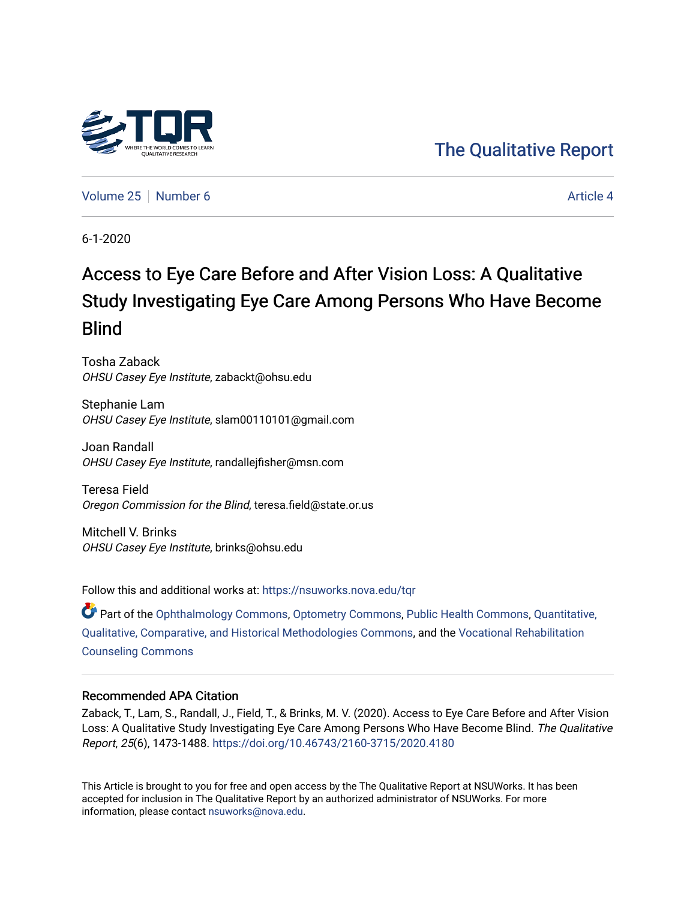

[Volume 25](https://nsuworks.nova.edu/tqr/vol25) [Number 6](https://nsuworks.nova.edu/tqr/vol25/iss6) Article 4

6-1-2020

# Access to Eye Care Before and After Vision Loss: A Qualitative Study Investigating Eye Care Among Persons Who Have Become Blind

Tosha Zaback OHSU Casey Eye Institute, zabackt@ohsu.edu

Stephanie Lam OHSU Casey Eye Institute, slam00110101@gmail.com

Joan Randall OHSU Casey Eye Institute, randallejfisher@msn.com

Teresa Field Oregon Commission for the Blind, teresa.field@state.or.us

Mitchell V. Brinks OHSU Casey Eye Institute, brinks@ohsu.edu

Follow this and additional works at: [https://nsuworks.nova.edu/tqr](https://nsuworks.nova.edu/tqr?utm_source=nsuworks.nova.edu%2Ftqr%2Fvol25%2Fiss6%2F4&utm_medium=PDF&utm_campaign=PDFCoverPages) 

Part of the [Ophthalmology Commons](http://network.bepress.com/hgg/discipline/695?utm_source=nsuworks.nova.edu%2Ftqr%2Fvol25%2Fiss6%2F4&utm_medium=PDF&utm_campaign=PDFCoverPages), [Optometry Commons](http://network.bepress.com/hgg/discipline/730?utm_source=nsuworks.nova.edu%2Ftqr%2Fvol25%2Fiss6%2F4&utm_medium=PDF&utm_campaign=PDFCoverPages), [Public Health Commons](http://network.bepress.com/hgg/discipline/738?utm_source=nsuworks.nova.edu%2Ftqr%2Fvol25%2Fiss6%2F4&utm_medium=PDF&utm_campaign=PDFCoverPages), [Quantitative,](http://network.bepress.com/hgg/discipline/423?utm_source=nsuworks.nova.edu%2Ftqr%2Fvol25%2Fiss6%2F4&utm_medium=PDF&utm_campaign=PDFCoverPages) [Qualitative, Comparative, and Historical Methodologies Commons,](http://network.bepress.com/hgg/discipline/423?utm_source=nsuworks.nova.edu%2Ftqr%2Fvol25%2Fiss6%2F4&utm_medium=PDF&utm_campaign=PDFCoverPages) and the [Vocational Rehabilitation](http://network.bepress.com/hgg/discipline/756?utm_source=nsuworks.nova.edu%2Ftqr%2Fvol25%2Fiss6%2F4&utm_medium=PDF&utm_campaign=PDFCoverPages) [Counseling Commons](http://network.bepress.com/hgg/discipline/756?utm_source=nsuworks.nova.edu%2Ftqr%2Fvol25%2Fiss6%2F4&utm_medium=PDF&utm_campaign=PDFCoverPages)

#### Recommended APA Citation

Zaback, T., Lam, S., Randall, J., Field, T., & Brinks, M. V. (2020). Access to Eye Care Before and After Vision Loss: A Qualitative Study Investigating Eye Care Among Persons Who Have Become Blind. The Qualitative Report, 25(6), 1473-1488. <https://doi.org/10.46743/2160-3715/2020.4180>

This Article is brought to you for free and open access by the The Qualitative Report at NSUWorks. It has been accepted for inclusion in The Qualitative Report by an authorized administrator of NSUWorks. For more information, please contact [nsuworks@nova.edu.](mailto:nsuworks@nova.edu)

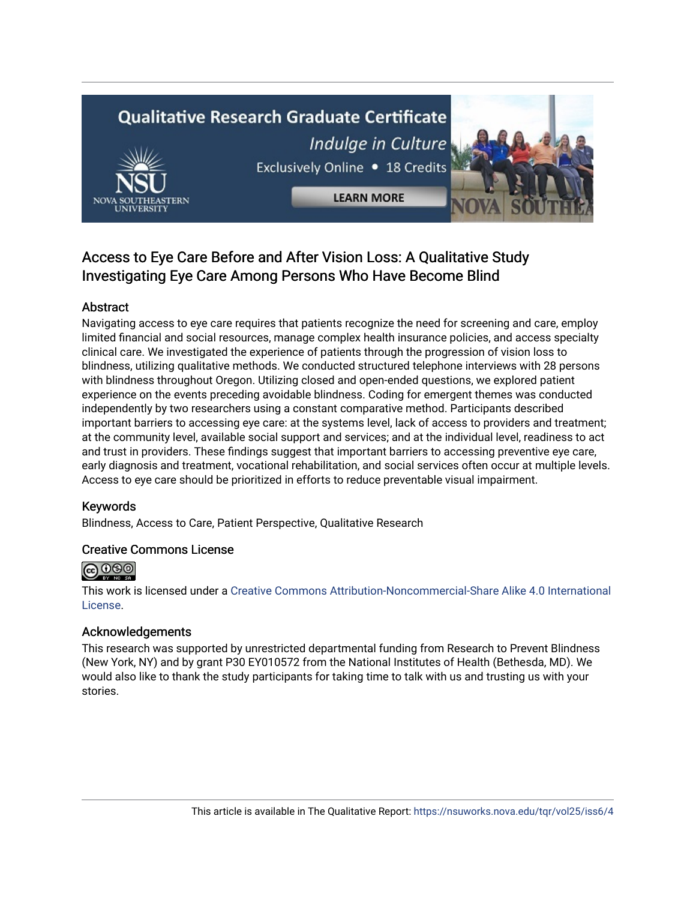# **Qualitative Research Graduate Certificate** Indulge in Culture Exclusively Online . 18 Credits



## Access to Eye Care Before and After Vision Loss: A Qualitative Study Investigating Eye Care Among Persons Who Have Become Blind

## Abstract

Navigating access to eye care requires that patients recognize the need for screening and care, employ limited financial and social resources, manage complex health insurance policies, and access specialty clinical care. We investigated the experience of patients through the progression of vision loss to blindness, utilizing qualitative methods. We conducted structured telephone interviews with 28 persons with blindness throughout Oregon. Utilizing closed and open-ended questions, we explored patient experience on the events preceding avoidable blindness. Coding for emergent themes was conducted independently by two researchers using a constant comparative method. Participants described important barriers to accessing eye care: at the systems level, lack of access to providers and treatment; at the community level, available social support and services; and at the individual level, readiness to act and trust in providers. These findings suggest that important barriers to accessing preventive eye care, early diagnosis and treatment, vocational rehabilitation, and social services often occur at multiple levels. Access to eye care should be prioritized in efforts to reduce preventable visual impairment.

## Keywords

Blindness, Access to Care, Patient Perspective, Qualitative Research

## Creative Commons License



This work is licensed under a [Creative Commons Attribution-Noncommercial-Share Alike 4.0 International](https://creativecommons.org/licenses/by-nc-sa/4.0/)  [License](https://creativecommons.org/licenses/by-nc-sa/4.0/).

### Acknowledgements

This research was supported by unrestricted departmental funding from Research to Prevent Blindness (New York, NY) and by grant P30 EY010572 from the National Institutes of Health (Bethesda, MD). We would also like to thank the study participants for taking time to talk with us and trusting us with your stories.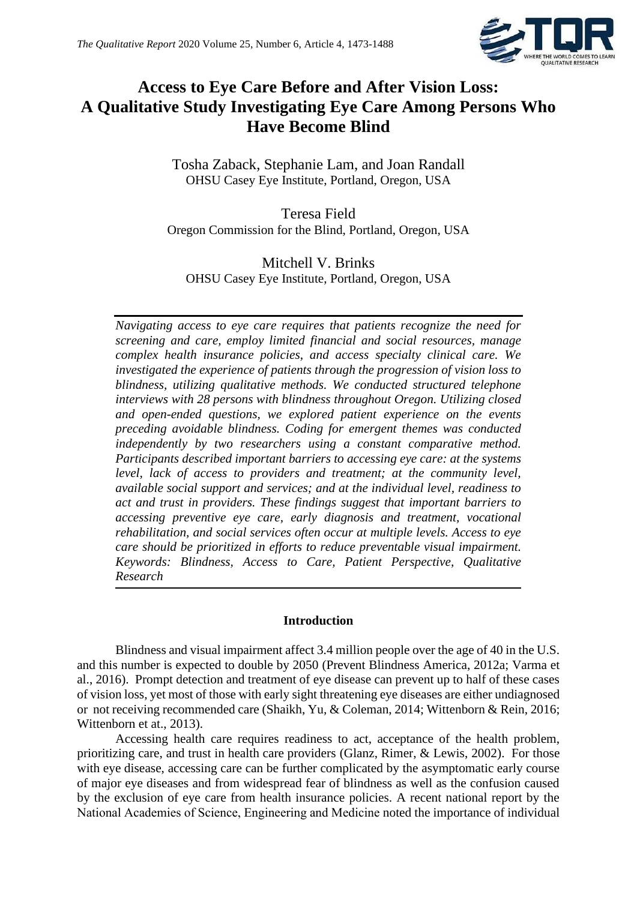

## **Access to Eye Care Before and After Vision Loss: A Qualitative Study Investigating Eye Care Among Persons Who Have Become Blind**

Tosha Zaback, Stephanie Lam, and Joan Randall OHSU Casey Eye Institute, Portland, Oregon, USA

Teresa Field Oregon Commission for the Blind, Portland, Oregon, USA

## Mitchell V. Brinks OHSU Casey Eye Institute, Portland, Oregon, USA

*Navigating access to eye care requires that patients recognize the need for screening and care, employ limited financial and social resources, manage complex health insurance policies, and access specialty clinical care. We investigated the experience of patients through the progression of vision loss to blindness, utilizing qualitative methods. We conducted structured telephone interviews with 28 persons with blindness throughout Oregon. Utilizing closed and open-ended questions, we explored patient experience on the events preceding avoidable blindness. Coding for emergent themes was conducted independently by two researchers using a constant comparative method. Participants described important barriers to accessing eye care: at the systems level, lack of access to providers and treatment; at the community level, available social support and services; and at the individual level, readiness to act and trust in providers. These findings suggest that important barriers to accessing preventive eye care, early diagnosis and treatment, vocational rehabilitation, and social services often occur at multiple levels. Access to eye care should be prioritized in efforts to reduce preventable visual impairment. Keywords: Blindness, Access to Care, Patient Perspective, Qualitative Research* 

## **Introduction**

Blindness and visual impairment affect 3.4 million people over the age of 40 in the U.S. and this number is expected to double by 2050 (Prevent Blindness America, 2012a; Varma et al., 2016). Prompt detection and treatment of eye disease can prevent up to half of these cases of vision loss, yet most of those with early sight threatening eye diseases are either undiagnosed or not receiving recommended care (Shaikh, Yu, & Coleman, 2014; Wittenborn & Rein, 2016; Wittenborn et at., 2013).

Accessing health care requires readiness to act, acceptance of the health problem, prioritizing care, and trust in health care providers (Glanz, Rimer, & Lewis, 2002). For those with eye disease, accessing care can be further complicated by the asymptomatic early course of major eye diseases and from widespread fear of blindness as well as the confusion caused by the exclusion of eye care from health insurance policies. A recent national report by the National Academies of Science, Engineering and Medicine noted the importance of individual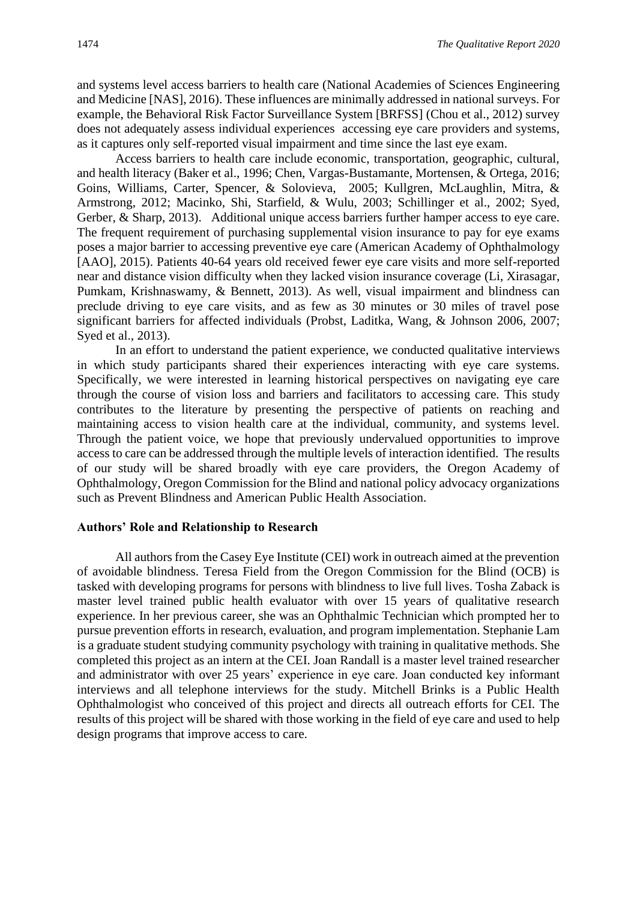and systems level access barriers to health care (National Academies of Sciences Engineering and Medicine [NAS], 2016). These influences are minimally addressed in national surveys. For example, the Behavioral Risk Factor Surveillance System [BRFSS] (Chou et al., 2012) survey does not adequately assess individual experiences accessing eye care providers and systems, as it captures only self-reported visual impairment and time since the last eye exam.

Access barriers to health care include economic, transportation, geographic, cultural, and health literacy (Baker et al., 1996; Chen, Vargas-Bustamante, Mortensen, & Ortega, 2016; Goins, Williams, Carter, Spencer, & Solovieva, 2005; Kullgren, McLaughlin, Mitra, & Armstrong, 2012; Macinko, Shi, Starfield, & Wulu, 2003; Schillinger et al., 2002; Syed, Gerber, & Sharp, 2013). Additional unique access barriers further hamper access to eye care. The frequent requirement of purchasing supplemental vision insurance to pay for eye exams poses a major barrier to accessing preventive eye care (American Academy of Ophthalmology [AAO], 2015). Patients 40-64 years old received fewer eye care visits and more self-reported near and distance vision difficulty when they lacked vision insurance coverage (Li, Xirasagar, Pumkam, Krishnaswamy, & Bennett, 2013). As well, visual impairment and blindness can preclude driving to eye care visits, and as few as 30 minutes or 30 miles of travel pose significant barriers for affected individuals (Probst, Laditka, Wang, & Johnson 2006, 2007; Syed et al., 2013).

In an effort to understand the patient experience, we conducted qualitative interviews in which study participants shared their experiences interacting with eye care systems. Specifically, we were interested in learning historical perspectives on navigating eye care through the course of vision loss and barriers and facilitators to accessing care. This study contributes to the literature by presenting the perspective of patients on reaching and maintaining access to vision health care at the individual, community, and systems level. Through the patient voice, we hope that previously undervalued opportunities to improve access to care can be addressed through the multiple levels of interaction identified. The results of our study will be shared broadly with eye care providers, the Oregon Academy of Ophthalmology, Oregon Commission for the Blind and national policy advocacy organizations such as Prevent Blindness and American Public Health Association.

#### **Authors' Role and Relationship to Research**

All authors from the Casey Eye Institute (CEI) work in outreach aimed at the prevention of avoidable blindness. Teresa Field from the Oregon Commission for the Blind (OCB) is tasked with developing programs for persons with blindness to live full lives. Tosha Zaback is master level trained public health evaluator with over 15 years of qualitative research experience. In her previous career, she was an Ophthalmic Technician which prompted her to pursue prevention efforts in research, evaluation, and program implementation. Stephanie Lam is a graduate student studying community psychology with training in qualitative methods. She completed this project as an intern at the CEI. Joan Randall is a master level trained researcher and administrator with over 25 years' experience in eye care. Joan conducted key informant interviews and all telephone interviews for the study. Mitchell Brinks is a Public Health Ophthalmologist who conceived of this project and directs all outreach efforts for CEI. The results of this project will be shared with those working in the field of eye care and used to help design programs that improve access to care.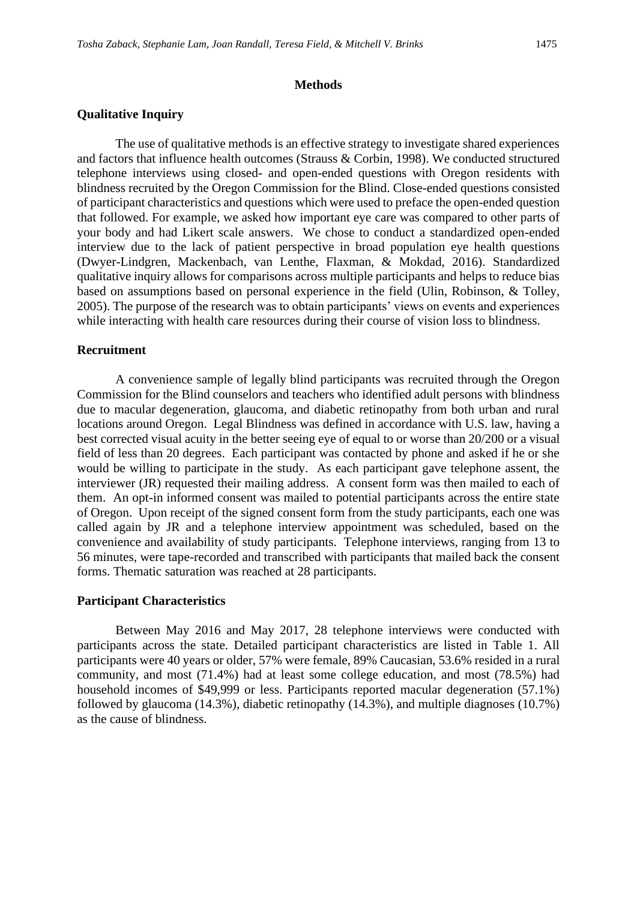#### **Methods**

#### **Qualitative Inquiry**

The use of qualitative methods is an effective strategy to investigate shared experiences and factors that influence health outcomes (Strauss & Corbin, 1998). We conducted structured telephone interviews using closed- and open-ended questions with Oregon residents with blindness recruited by the Oregon Commission for the Blind. Close-ended questions consisted of participant characteristics and questions which were used to preface the open-ended question that followed. For example, we asked how important eye care was compared to other parts of your body and had Likert scale answers. We chose to conduct a standardized open-ended interview due to the lack of patient perspective in broad population eye health questions (Dwyer-Lindgren, Mackenbach, van Lenthe, Flaxman, & Mokdad, 2016). Standardized qualitative inquiry allows for comparisons across multiple participants and helps to reduce bias based on assumptions based on personal experience in the field (Ulin, Robinson, & Tolley, 2005). The purpose of the research was to obtain participants' views on events and experiences while interacting with health care resources during their course of vision loss to blindness.

#### **Recruitment**

A convenience sample of legally blind participants was recruited through the Oregon Commission for the Blind counselors and teachers who identified adult persons with blindness due to macular degeneration, glaucoma, and diabetic retinopathy from both urban and rural locations around Oregon. Legal Blindness was defined in accordance with U.S. law, having a best corrected visual acuity in the better seeing eye of equal to or worse than 20/200 or a visual field of less than 20 degrees. Each participant was contacted by phone and asked if he or she would be willing to participate in the study. As each participant gave telephone assent, the interviewer (JR) requested their mailing address. A consent form was then mailed to each of them. An opt-in informed consent was mailed to potential participants across the entire state of Oregon. Upon receipt of the signed consent form from the study participants, each one was called again by JR and a telephone interview appointment was scheduled, based on the convenience and availability of study participants. Telephone interviews, ranging from 13 to 56 minutes, were tape-recorded and transcribed with participants that mailed back the consent forms. Thematic saturation was reached at 28 participants.

#### **Participant Characteristics**

Between May 2016 and May 2017, 28 telephone interviews were conducted with participants across the state. Detailed participant characteristics are listed in Table 1. All participants were 40 years or older, 57% were female, 89% Caucasian, 53.6% resided in a rural community, and most (71.4%) had at least some college education, and most (78.5%) had household incomes of \$49,999 or less. Participants reported macular degeneration (57.1%) followed by glaucoma (14.3%), diabetic retinopathy (14.3%), and multiple diagnoses (10.7%) as the cause of blindness.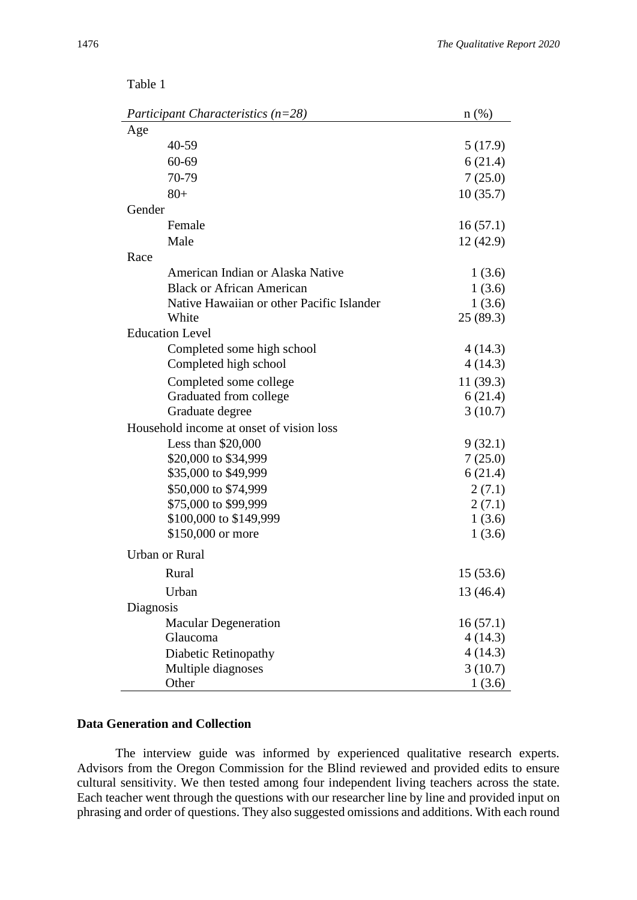| Participant Characteristics $(n=28)$      | $n(\%)$  |
|-------------------------------------------|----------|
| Age                                       |          |
| 40-59                                     | 5(17.9)  |
| 60-69                                     | 6(21.4)  |
| 70-79                                     | 7(25.0)  |
| $80+$                                     | 10(35.7) |
| Gender                                    |          |
| Female                                    | 16(57.1) |
| Male                                      | 12(42.9) |
| Race                                      |          |
| American Indian or Alaska Native          | 1(3.6)   |
| <b>Black or African American</b>          | 1(3.6)   |
| Native Hawaiian or other Pacific Islander | 1(3.6)   |
| White                                     | 25(89.3) |
| <b>Education Level</b>                    |          |
| Completed some high school                | 4 (14.3) |
| Completed high school                     | 4 (14.3) |
| Completed some college                    | 11(39.3) |
| Graduated from college                    | 6(21.4)  |
| Graduate degree                           | 3(10.7)  |
| Household income at onset of vision loss  |          |
| Less than $$20,000$                       | 9(32.1)  |
| \$20,000 to \$34,999                      | 7(25.0)  |
| \$35,000 to \$49,999                      | 6(21.4)  |
| \$50,000 to \$74,999                      | 2(7.1)   |
| \$75,000 to \$99,999                      | 2(7.1)   |
| \$100,000 to \$149,999                    | 1(3.6)   |
| \$150,000 or more                         | 1(3.6)   |
| <b>Urban or Rural</b>                     |          |
| Rural                                     | 15(53.6) |
| Urban                                     | 13(46.4) |
| Diagnosis                                 |          |
| <b>Macular Degeneration</b>               | 16(57.1) |
| Glaucoma                                  | 4(14.3)  |
| Diabetic Retinopathy                      | 4(14.3)  |
| Multiple diagnoses                        | 3(10.7)  |

#### Table 1

## **Data Generation and Collection**

The interview guide was informed by experienced qualitative research experts. Advisors from the Oregon Commission for the Blind reviewed and provided edits to ensure cultural sensitivity. We then tested among four independent living teachers across the state. Each teacher went through the questions with our researcher line by line and provided input on phrasing and order of questions. They also suggested omissions and additions. With each round

Other  $1 (3.6)$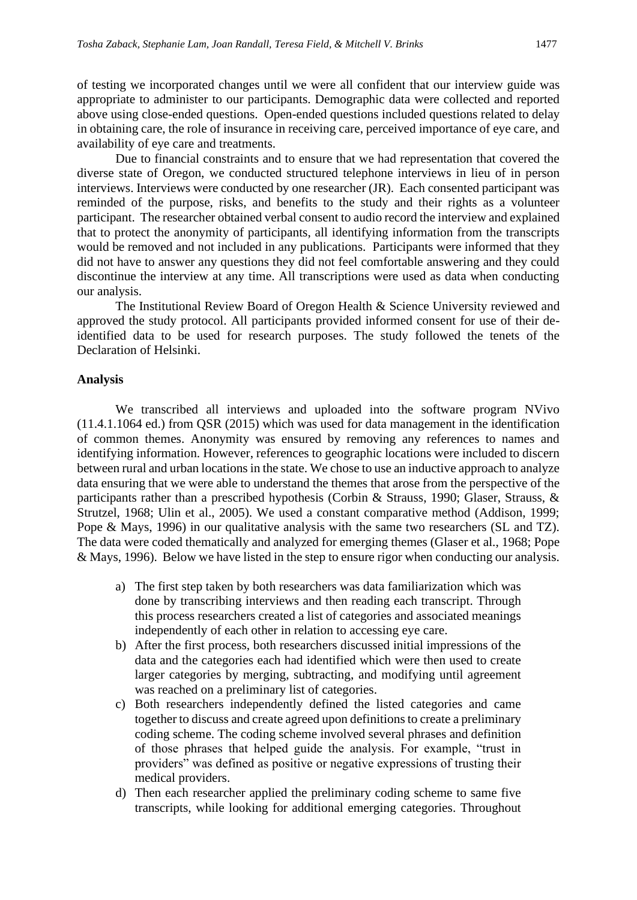of testing we incorporated changes until we were all confident that our interview guide was appropriate to administer to our participants. Demographic data were collected and reported above using close-ended questions. Open-ended questions included questions related to delay in obtaining care, the role of insurance in receiving care, perceived importance of eye care, and availability of eye care and treatments.

Due to financial constraints and to ensure that we had representation that covered the diverse state of Oregon, we conducted structured telephone interviews in lieu of in person interviews. Interviews were conducted by one researcher (JR). Each consented participant was reminded of the purpose, risks, and benefits to the study and their rights as a volunteer participant. The researcher obtained verbal consent to audio record the interview and explained that to protect the anonymity of participants, all identifying information from the transcripts would be removed and not included in any publications. Participants were informed that they did not have to answer any questions they did not feel comfortable answering and they could discontinue the interview at any time. All transcriptions were used as data when conducting our analysis.

The Institutional Review Board of Oregon Health & Science University reviewed and approved the study protocol. All participants provided informed consent for use of their deidentified data to be used for research purposes. The study followed the tenets of the Declaration of Helsinki.

#### **Analysis**

We transcribed all interviews and uploaded into the software program NVivo (11.4.1.1064 ed.) from QSR (2015) which was used for data management in the identification of common themes. Anonymity was ensured by removing any references to names and identifying information. However, references to geographic locations were included to discern between rural and urban locations in the state. We chose to use an inductive approach to analyze data ensuring that we were able to understand the themes that arose from the perspective of the participants rather than a prescribed hypothesis (Corbin & Strauss, 1990; Glaser, Strauss, & Strutzel, 1968; Ulin et al., 2005). We used a constant comparative method (Addison, 1999; Pope & Mays, 1996) in our qualitative analysis with the same two researchers (SL and TZ). The data were coded thematically and analyzed for emerging themes (Glaser et al., 1968; Pope & Mays, 1996). Below we have listed in the step to ensure rigor when conducting our analysis.

- a) The first step taken by both researchers was data familiarization which was done by transcribing interviews and then reading each transcript. Through this process researchers created a list of categories and associated meanings independently of each other in relation to accessing eye care.
- b) After the first process, both researchers discussed initial impressions of the data and the categories each had identified which were then used to create larger categories by merging, subtracting, and modifying until agreement was reached on a preliminary list of categories.
- c) Both researchers independently defined the listed categories and came together to discuss and create agreed upon definitions to create a preliminary coding scheme. The coding scheme involved several phrases and definition of those phrases that helped guide the analysis. For example, "trust in providers" was defined as positive or negative expressions of trusting their medical providers.
- d) Then each researcher applied the preliminary coding scheme to same five transcripts, while looking for additional emerging categories. Throughout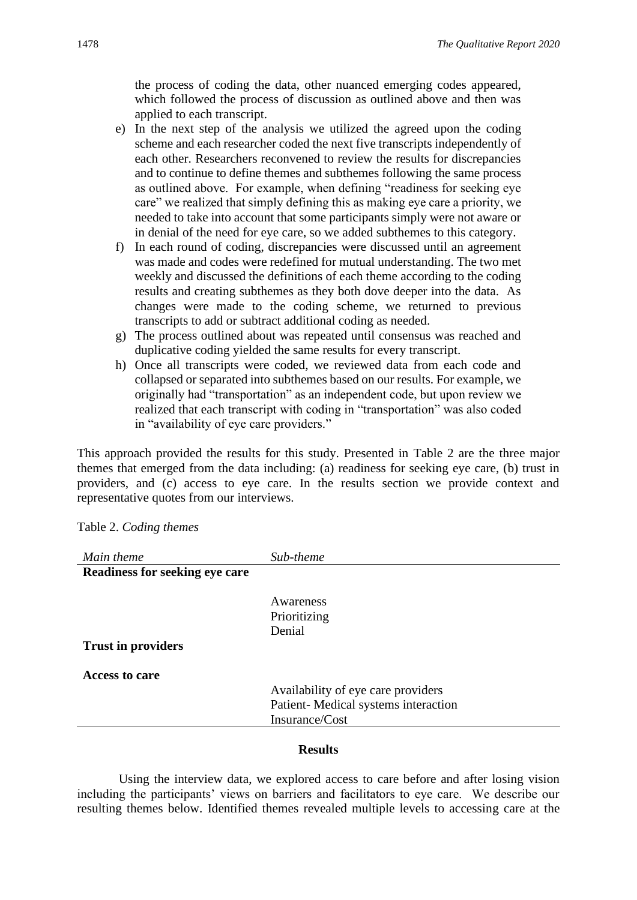the process of coding the data, other nuanced emerging codes appeared, which followed the process of discussion as outlined above and then was applied to each transcript.

- e) In the next step of the analysis we utilized the agreed upon the coding scheme and each researcher coded the next five transcripts independently of each other. Researchers reconvened to review the results for discrepancies and to continue to define themes and subthemes following the same process as outlined above. For example, when defining "readiness for seeking eye care" we realized that simply defining this as making eye care a priority, we needed to take into account that some participants simply were not aware or in denial of the need for eye care, so we added subthemes to this category.
- f) In each round of coding, discrepancies were discussed until an agreement was made and codes were redefined for mutual understanding. The two met weekly and discussed the definitions of each theme according to the coding results and creating subthemes as they both dove deeper into the data. As changes were made to the coding scheme, we returned to previous transcripts to add or subtract additional coding as needed.
- g) The process outlined about was repeated until consensus was reached and duplicative coding yielded the same results for every transcript.
- h) Once all transcripts were coded, we reviewed data from each code and collapsed or separated into subthemes based on our results. For example, we originally had "transportation" as an independent code, but upon review we realized that each transcript with coding in "transportation" was also coded in "availability of eye care providers."

This approach provided the results for this study. Presented in Table 2 are the three major themes that emerged from the data including: (a) readiness for seeking eye care, (b) trust in providers, and (c) access to eye care. In the results section we provide context and representative quotes from our interviews.

Table 2. *Coding themes* 

| Main theme                     | Sub-theme                           |
|--------------------------------|-------------------------------------|
| Readiness for seeking eye care |                                     |
|                                |                                     |
|                                | Awareness                           |
|                                | Prioritizing                        |
|                                | Denial                              |
| <b>Trust in providers</b>      |                                     |
| Access to care                 |                                     |
|                                | Availability of eye care providers  |
|                                | Patient-Medical systems interaction |
|                                | Insurance/Cost                      |
|                                |                                     |

#### **Results**

Using the interview data, we explored access to care before and after losing vision including the participants' views on barriers and facilitators to eye care. We describe our resulting themes below. Identified themes revealed multiple levels to accessing care at the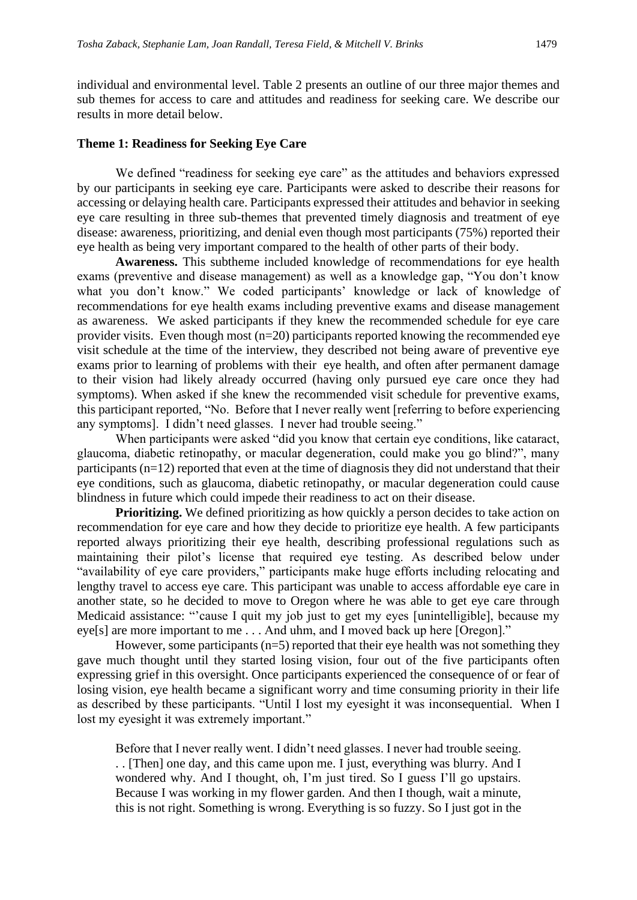individual and environmental level. Table 2 presents an outline of our three major themes and sub themes for access to care and attitudes and readiness for seeking care. We describe our results in more detail below.

#### **Theme 1: Readiness for Seeking Eye Care**

We defined "readiness for seeking eye care" as the attitudes and behaviors expressed by our participants in seeking eye care. Participants were asked to describe their reasons for accessing or delaying health care. Participants expressed their attitudes and behavior in seeking eye care resulting in three sub-themes that prevented timely diagnosis and treatment of eye disease: awareness, prioritizing, and denial even though most participants (75%) reported their eye health as being very important compared to the health of other parts of their body.

**Awareness.** This subtheme included knowledge of recommendations for eye health exams (preventive and disease management) as well as a knowledge gap, "You don't know what you don't know." We coded participants' knowledge or lack of knowledge of recommendations for eye health exams including preventive exams and disease management as awareness. We asked participants if they knew the recommended schedule for eye care provider visits. Even though most  $(n=20)$  participants reported knowing the recommended eye visit schedule at the time of the interview, they described not being aware of preventive eye exams prior to learning of problems with their eye health, and often after permanent damage to their vision had likely already occurred (having only pursued eye care once they had symptoms). When asked if she knew the recommended visit schedule for preventive exams, this participant reported, "No. Before that I never really went [referring to before experiencing any symptoms]. I didn't need glasses. I never had trouble seeing."

When participants were asked "did you know that certain eye conditions, like cataract, glaucoma, diabetic retinopathy, or macular degeneration, could make you go blind?", many participants (n=12) reported that even at the time of diagnosis they did not understand that their eye conditions, such as glaucoma, diabetic retinopathy, or macular degeneration could cause blindness in future which could impede their readiness to act on their disease.

**Prioritizing.** We defined prioritizing as how quickly a person decides to take action on recommendation for eye care and how they decide to prioritize eye health. A few participants reported always prioritizing their eye health, describing professional regulations such as maintaining their pilot's license that required eye testing. As described below under "availability of eye care providers," participants make huge efforts including relocating and lengthy travel to access eye care. This participant was unable to access affordable eye care in another state, so he decided to move to Oregon where he was able to get eye care through Medicaid assistance: "'cause I quit my job just to get my eyes [unintelligible], because my eye[s] are more important to me . . . And uhm, and I moved back up here [Oregon]."

However, some participants  $(n=5)$  reported that their eye health was not something they gave much thought until they started losing vision, four out of the five participants often expressing grief in this oversight. Once participants experienced the consequence of or fear of losing vision, eye health became a significant worry and time consuming priority in their life as described by these participants. "Until I lost my eyesight it was inconsequential. When I lost my eyesight it was extremely important."

Before that I never really went. I didn't need glasses. I never had trouble seeing. . . [Then] one day, and this came upon me. I just, everything was blurry. And I wondered why. And I thought, oh, I'm just tired. So I guess I'll go upstairs. Because I was working in my flower garden. And then I though, wait a minute, this is not right. Something is wrong. Everything is so fuzzy. So I just got in the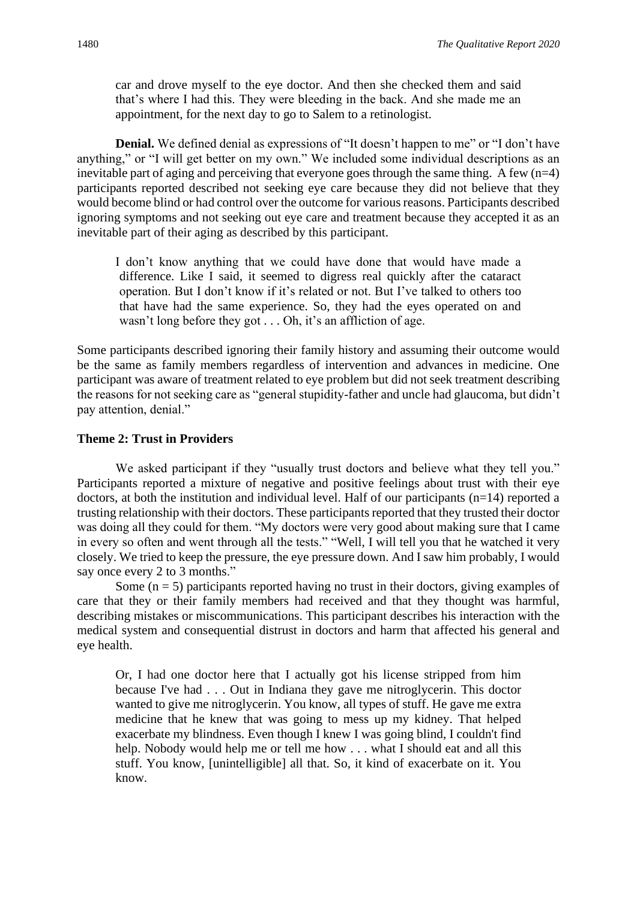car and drove myself to the eye doctor. And then she checked them and said that's where I had this. They were bleeding in the back. And she made me an appointment, for the next day to go to Salem to a retinologist.

**Denial.** We defined denial as expressions of "It doesn't happen to me" or "I don't have anything," or "I will get better on my own." We included some individual descriptions as an inevitable part of aging and perceiving that everyone goes through the same thing. A few  $(n=4)$ participants reported described not seeking eye care because they did not believe that they would become blind or had control over the outcome for various reasons. Participants described ignoring symptoms and not seeking out eye care and treatment because they accepted it as an inevitable part of their aging as described by this participant.

I don't know anything that we could have done that would have made a difference. Like I said, it seemed to digress real quickly after the cataract operation. But I don't know if it's related or not. But I've talked to others too that have had the same experience. So, they had the eyes operated on and wasn't long before they got . . . Oh, it's an affliction of age.

Some participants described ignoring their family history and assuming their outcome would be the same as family members regardless of intervention and advances in medicine. One participant was aware of treatment related to eye problem but did not seek treatment describing the reasons for not seeking care as "general stupidity-father and uncle had glaucoma, but didn't pay attention, denial."

### **Theme 2: Trust in Providers**

We asked participant if they "usually trust doctors and believe what they tell you." Participants reported a mixture of negative and positive feelings about trust with their eye doctors, at both the institution and individual level. Half of our participants (n=14) reported a trusting relationship with their doctors. These participants reported that they trusted their doctor was doing all they could for them. "My doctors were very good about making sure that I came in every so often and went through all the tests." "Well, I will tell you that he watched it very closely. We tried to keep the pressure, the eye pressure down. And I saw him probably, I would say once every 2 to 3 months."

Some  $(n = 5)$  participants reported having no trust in their doctors, giving examples of care that they or their family members had received and that they thought was harmful, describing mistakes or miscommunications. This participant describes his interaction with the medical system and consequential distrust in doctors and harm that affected his general and eye health.

Or, I had one doctor here that I actually got his license stripped from him because I've had . . . Out in Indiana they gave me nitroglycerin. This doctor wanted to give me nitroglycerin. You know, all types of stuff. He gave me extra medicine that he knew that was going to mess up my kidney. That helped exacerbate my blindness. Even though I knew I was going blind, I couldn't find help. Nobody would help me or tell me how . . . what I should eat and all this stuff. You know, [unintelligible] all that. So, it kind of exacerbate on it. You know.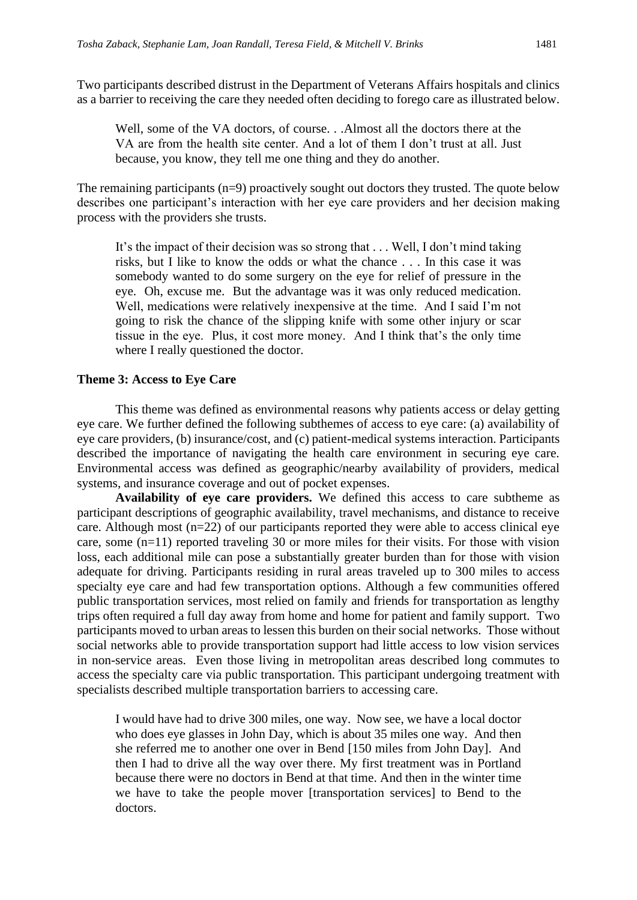Two participants described distrust in the Department of Veterans Affairs hospitals and clinics as a barrier to receiving the care they needed often deciding to forego care as illustrated below.

Well, some of the VA doctors, of course. . .Almost all the doctors there at the VA are from the health site center. And a lot of them I don't trust at all. Just because, you know, they tell me one thing and they do another.

The remaining participants (n=9) proactively sought out doctors they trusted. The quote below describes one participant's interaction with her eye care providers and her decision making process with the providers she trusts.

It's the impact of their decision was so strong that . . . Well, I don't mind taking risks, but I like to know the odds or what the chance . . . In this case it was somebody wanted to do some surgery on the eye for relief of pressure in the eye. Oh, excuse me. But the advantage was it was only reduced medication. Well, medications were relatively inexpensive at the time. And I said I'm not going to risk the chance of the slipping knife with some other injury or scar tissue in the eye. Plus, it cost more money. And I think that's the only time where I really questioned the doctor.

#### **Theme 3: Access to Eye Care**

This theme was defined as environmental reasons why patients access or delay getting eye care. We further defined the following subthemes of access to eye care: (a) availability of eye care providers, (b) insurance/cost, and (c) patient-medical systems interaction. Participants described the importance of navigating the health care environment in securing eye care. Environmental access was defined as geographic/nearby availability of providers, medical systems, and insurance coverage and out of pocket expenses.

**Availability of eye care providers.** We defined this access to care subtheme as participant descriptions of geographic availability, travel mechanisms, and distance to receive care. Although most (n=22) of our participants reported they were able to access clinical eye care, some (n=11) reported traveling 30 or more miles for their visits. For those with vision loss, each additional mile can pose a substantially greater burden than for those with vision adequate for driving. Participants residing in rural areas traveled up to 300 miles to access specialty eye care and had few transportation options. Although a few communities offered public transportation services, most relied on family and friends for transportation as lengthy trips often required a full day away from home and home for patient and family support. Two participants moved to urban areas to lessen this burden on their social networks. Those without social networks able to provide transportation support had little access to low vision services in non-service areas. Even those living in metropolitan areas described long commutes to access the specialty care via public transportation. This participant undergoing treatment with specialists described multiple transportation barriers to accessing care.

I would have had to drive 300 miles, one way. Now see, we have a local doctor who does eye glasses in John Day, which is about 35 miles one way. And then she referred me to another one over in Bend [150 miles from John Day]. And then I had to drive all the way over there. My first treatment was in Portland because there were no doctors in Bend at that time. And then in the winter time we have to take the people mover [transportation services] to Bend to the doctors.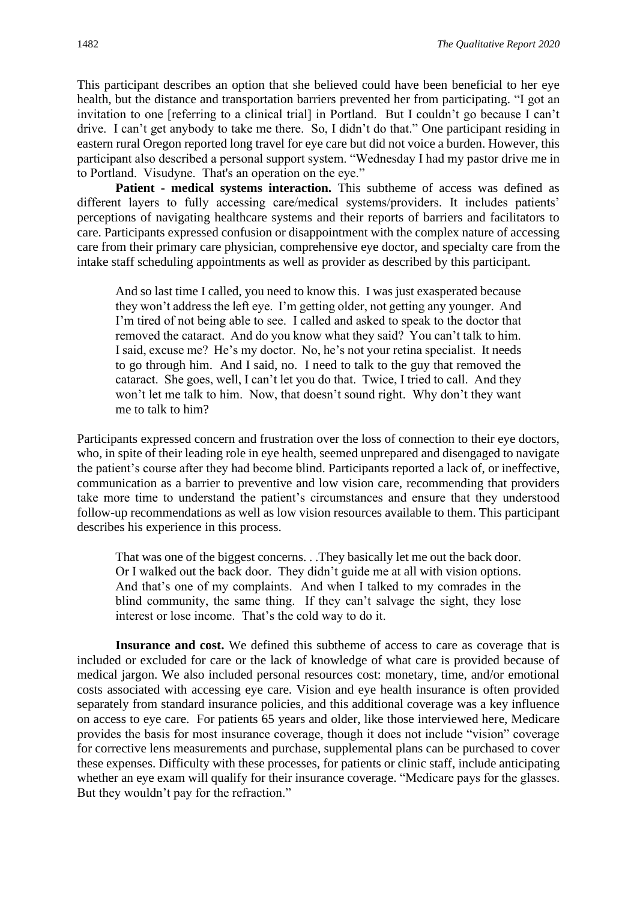This participant describes an option that she believed could have been beneficial to her eye health, but the distance and transportation barriers prevented her from participating. "I got an invitation to one [referring to a clinical trial] in Portland. But I couldn't go because I can't drive. I can't get anybody to take me there. So, I didn't do that." One participant residing in eastern rural Oregon reported long travel for eye care but did not voice a burden. However, this participant also described a personal support system. "Wednesday I had my pastor drive me in to Portland. Visudyne. That's an operation on the eye."

**Patient - medical systems interaction.** This subtheme of access was defined as different layers to fully accessing care/medical systems/providers. It includes patients' perceptions of navigating healthcare systems and their reports of barriers and facilitators to care. Participants expressed confusion or disappointment with the complex nature of accessing care from their primary care physician, comprehensive eye doctor, and specialty care from the intake staff scheduling appointments as well as provider as described by this participant.

And so last time I called, you need to know this. I was just exasperated because they won't address the left eye. I'm getting older, not getting any younger. And I'm tired of not being able to see. I called and asked to speak to the doctor that removed the cataract. And do you know what they said? You can't talk to him. I said, excuse me? He's my doctor. No, he's not your retina specialist. It needs to go through him. And I said, no. I need to talk to the guy that removed the cataract. She goes, well, I can't let you do that. Twice, I tried to call. And they won't let me talk to him. Now, that doesn't sound right. Why don't they want me to talk to him?

Participants expressed concern and frustration over the loss of connection to their eye doctors, who, in spite of their leading role in eye health, seemed unprepared and disengaged to navigate the patient's course after they had become blind. Participants reported a lack of, or ineffective, communication as a barrier to preventive and low vision care, recommending that providers take more time to understand the patient's circumstances and ensure that they understood follow-up recommendations as well as low vision resources available to them. This participant describes his experience in this process.

That was one of the biggest concerns. . .They basically let me out the back door. Or I walked out the back door. They didn't guide me at all with vision options. And that's one of my complaints. And when I talked to my comrades in the blind community, the same thing. If they can't salvage the sight, they lose interest or lose income. That's the cold way to do it.

**Insurance and cost.** We defined this subtheme of access to care as coverage that is included or excluded for care or the lack of knowledge of what care is provided because of medical jargon. We also included personal resources cost: monetary, time, and/or emotional costs associated with accessing eye care. Vision and eye health insurance is often provided separately from standard insurance policies, and this additional coverage was a key influence on access to eye care. For patients 65 years and older, like those interviewed here, Medicare provides the basis for most insurance coverage, though it does not include "vision" coverage for corrective lens measurements and purchase, supplemental plans can be purchased to cover these expenses. Difficulty with these processes, for patients or clinic staff, include anticipating whether an eye exam will qualify for their insurance coverage. "Medicare pays for the glasses. But they wouldn't pay for the refraction."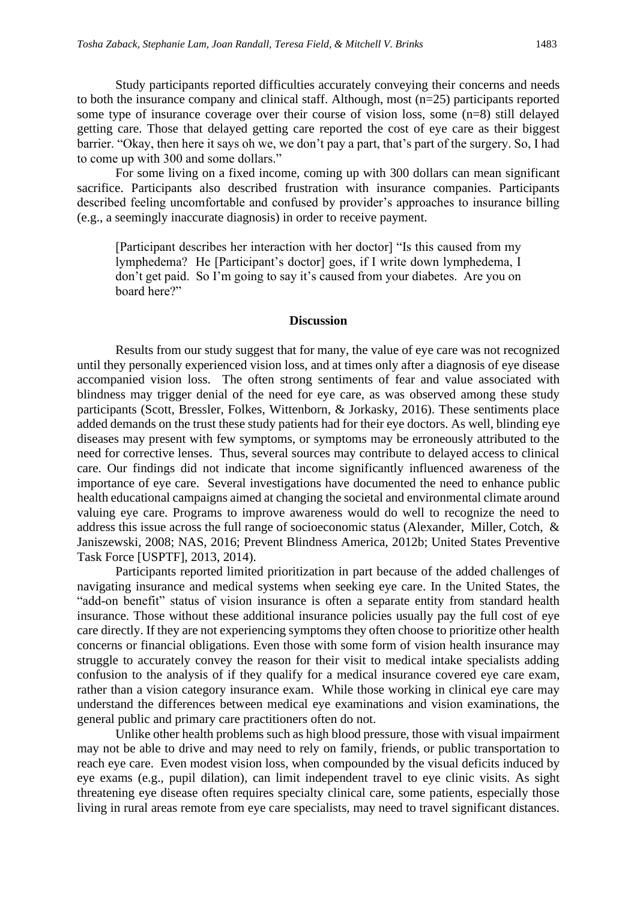Study participants reported difficulties accurately conveying their concerns and needs to both the insurance company and clinical staff. Although, most (n=25) participants reported some type of insurance coverage over their course of vision loss, some (n=8) still delayed getting care. Those that delayed getting care reported the cost of eye care as their biggest barrier. "Okay, then here it says oh we, we don't pay a part, that's part of the surgery. So, I had to come up with 300 and some dollars."

For some living on a fixed income, coming up with 300 dollars can mean significant sacrifice. Participants also described frustration with insurance companies. Participants described feeling uncomfortable and confused by provider's approaches to insurance billing (e.g., a seemingly inaccurate diagnosis) in order to receive payment.

[Participant describes her interaction with her doctor] "Is this caused from my lymphedema? He [Participant's doctor] goes, if I write down lymphedema, I don't get paid. So I'm going to say it's caused from your diabetes. Are you on board here?"

#### **Discussion**

Results from our study suggest that for many, the value of eye care was not recognized until they personally experienced vision loss, and at times only after a diagnosis of eye disease accompanied vision loss. The often strong sentiments of fear and value associated with blindness may trigger denial of the need for eye care, as was observed among these study participants (Scott, Bressler, Folkes, Wittenborn, & Jorkasky, 2016). These sentiments place added demands on the trust these study patients had for their eye doctors. As well, blinding eye diseases may present with few symptoms, or symptoms may be erroneously attributed to the need for corrective lenses. Thus, several sources may contribute to delayed access to clinical care. Our findings did not indicate that income significantly influenced awareness of the importance of eye care. Several investigations have documented the need to enhance public health educational campaigns aimed at changing the societal and environmental climate around valuing eye care. Programs to improve awareness would do well to recognize the need to address this issue across the full range of socioeconomic status (Alexander, Miller, Cotch, & Janiszewski, 2008; NAS, 2016; Prevent Blindness America, 2012b; United States Preventive Task Force [USPTF], 2013, 2014).

Participants reported limited prioritization in part because of the added challenges of navigating insurance and medical systems when seeking eye care. In the United States, the "add-on benefit" status of vision insurance is often a separate entity from standard health insurance. Those without these additional insurance policies usually pay the full cost of eye care directly. If they are not experiencing symptoms they often choose to prioritize other health concerns or financial obligations. Even those with some form of vision health insurance may struggle to accurately convey the reason for their visit to medical intake specialists adding confusion to the analysis of if they qualify for a medical insurance covered eye care exam, rather than a vision category insurance exam. While those working in clinical eye care may understand the differences between medical eye examinations and vision examinations, the general public and primary care practitioners often do not.

Unlike other health problems such as high blood pressure, those with visual impairment may not be able to drive and may need to rely on family, friends, or public transportation to reach eye care. Even modest vision loss, when compounded by the visual deficits induced by eye exams (e.g., pupil dilation), can limit independent travel to eye clinic visits. As sight threatening eye disease often requires specialty clinical care, some patients, especially those living in rural areas remote from eye care specialists, may need to travel significant distances.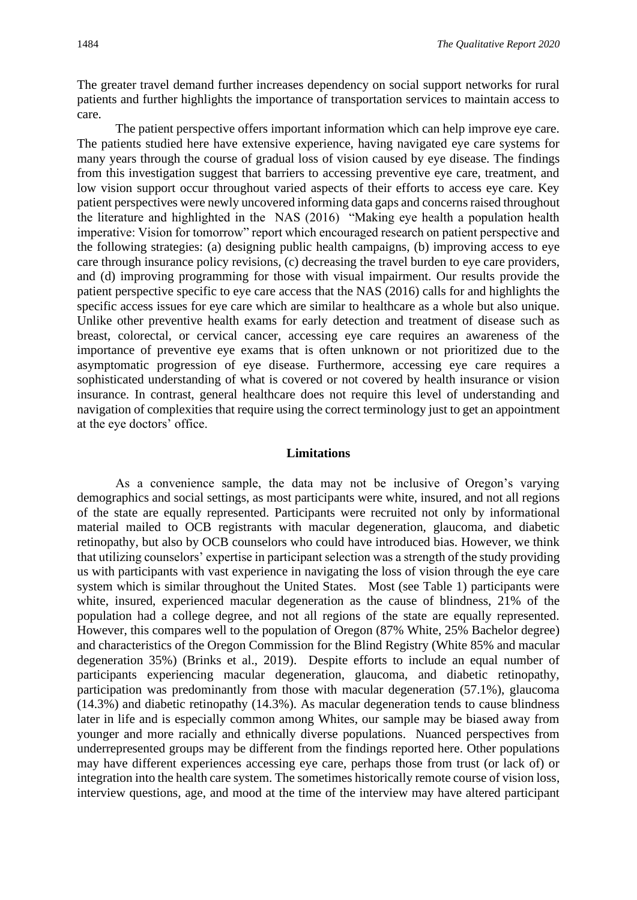The greater travel demand further increases dependency on social support networks for rural patients and further highlights the importance of transportation services to maintain access to care.

The patient perspective offers important information which can help improve eye care. The patients studied here have extensive experience, having navigated eye care systems for many years through the course of gradual loss of vision caused by eye disease. The findings from this investigation suggest that barriers to accessing preventive eye care, treatment, and low vision support occur throughout varied aspects of their efforts to access eye care. Key patient perspectives were newly uncovered informing data gaps and concerns raised throughout the literature and highlighted in the NAS (2016) "Making eye health a population health imperative: Vision for tomorrow" report which encouraged research on patient perspective and the following strategies: (a) designing public health campaigns, (b) improving access to eye care through insurance policy revisions, (c) decreasing the travel burden to eye care providers, and (d) improving programming for those with visual impairment. Our results provide the patient perspective specific to eye care access that the NAS (2016) calls for and highlights the specific access issues for eye care which are similar to healthcare as a whole but also unique. Unlike other preventive health exams for early detection and treatment of disease such as breast, colorectal, or cervical cancer, accessing eye care requires an awareness of the importance of preventive eye exams that is often unknown or not prioritized due to the asymptomatic progression of eye disease. Furthermore, accessing eye care requires a sophisticated understanding of what is covered or not covered by health insurance or vision insurance. In contrast, general healthcare does not require this level of understanding and navigation of complexities that require using the correct terminology just to get an appointment at the eye doctors' office.

#### **Limitations**

As a convenience sample, the data may not be inclusive of Oregon's varying demographics and social settings, as most participants were white, insured, and not all regions of the state are equally represented. Participants were recruited not only by informational material mailed to OCB registrants with macular degeneration, glaucoma, and diabetic retinopathy, but also by OCB counselors who could have introduced bias. However, we think that utilizing counselors' expertise in participant selection was a strength of the study providing us with participants with vast experience in navigating the loss of vision through the eye care system which is similar throughout the United States. Most (see Table 1) participants were white, insured, experienced macular degeneration as the cause of blindness, 21% of the population had a college degree, and not all regions of the state are equally represented. However, this compares well to the population of Oregon (87% White, 25% Bachelor degree) and characteristics of the Oregon Commission for the Blind Registry (White 85% and macular degeneration 35%) (Brinks et al., 2019). Despite efforts to include an equal number of participants experiencing macular degeneration, glaucoma, and diabetic retinopathy, participation was predominantly from those with macular degeneration (57.1%), glaucoma (14.3%) and diabetic retinopathy (14.3%). As macular degeneration tends to cause blindness later in life and is especially common among Whites, our sample may be biased away from younger and more racially and ethnically diverse populations. Nuanced perspectives from underrepresented groups may be different from the findings reported here. Other populations may have different experiences accessing eye care, perhaps those from trust (or lack of) or integration into the health care system. The sometimes historically remote course of vision loss, interview questions, age, and mood at the time of the interview may have altered participant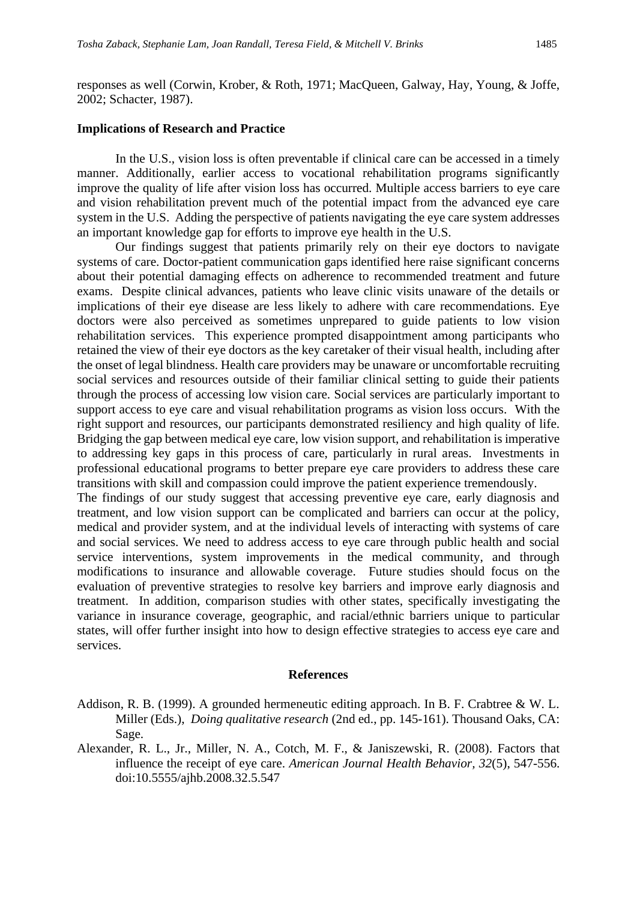responses as well (Corwin, Krober, & Roth, 1971; MacQueen, Galway, Hay, Young, & Joffe, 2002; Schacter, 1987).

#### **Implications of Research and Practice**

In the U.S., vision loss is often preventable if clinical care can be accessed in a timely manner. Additionally, earlier access to vocational rehabilitation programs significantly improve the quality of life after vision loss has occurred. Multiple access barriers to eye care and vision rehabilitation prevent much of the potential impact from the advanced eye care system in the U.S. Adding the perspective of patients navigating the eye care system addresses an important knowledge gap for efforts to improve eye health in the U.S.

Our findings suggest that patients primarily rely on their eye doctors to navigate systems of care. Doctor-patient communication gaps identified here raise significant concerns about their potential damaging effects on adherence to recommended treatment and future exams. Despite clinical advances, patients who leave clinic visits unaware of the details or implications of their eye disease are less likely to adhere with care recommendations. Eye doctors were also perceived as sometimes unprepared to guide patients to low vision rehabilitation services. This experience prompted disappointment among participants who retained the view of their eye doctors as the key caretaker of their visual health, including after the onset of legal blindness. Health care providers may be unaware or uncomfortable recruiting social services and resources outside of their familiar clinical setting to guide their patients through the process of accessing low vision care. Social services are particularly important to support access to eye care and visual rehabilitation programs as vision loss occurs. With the right support and resources, our participants demonstrated resiliency and high quality of life. Bridging the gap between medical eye care, low vision support, and rehabilitation is imperative to addressing key gaps in this process of care, particularly in rural areas. Investments in professional educational programs to better prepare eye care providers to address these care transitions with skill and compassion could improve the patient experience tremendously.

The findings of our study suggest that accessing preventive eye care, early diagnosis and treatment, and low vision support can be complicated and barriers can occur at the policy, medical and provider system, and at the individual levels of interacting with systems of care and social services. We need to address access to eye care through public health and social service interventions, system improvements in the medical community, and through modifications to insurance and allowable coverage. Future studies should focus on the evaluation of preventive strategies to resolve key barriers and improve early diagnosis and treatment. In addition, comparison studies with other states, specifically investigating the variance in insurance coverage, geographic, and racial/ethnic barriers unique to particular states, will offer further insight into how to design effective strategies to access eye care and services.

#### **References**

- Addison, R. B. (1999). A grounded hermeneutic editing approach. In B. F. Crabtree & W. L. Miller (Eds.), *Doing qualitative research* (2nd ed., pp. 145-161). Thousand Oaks, CA: Sage.
- Alexander, R. L., Jr., Miller, N. A., Cotch, M. F., & Janiszewski, R. (2008). Factors that influence the receipt of eye care. *American Journal Health Behavior, 32*(5), 547-556. doi:10.5555/ajhb.2008.32.5.547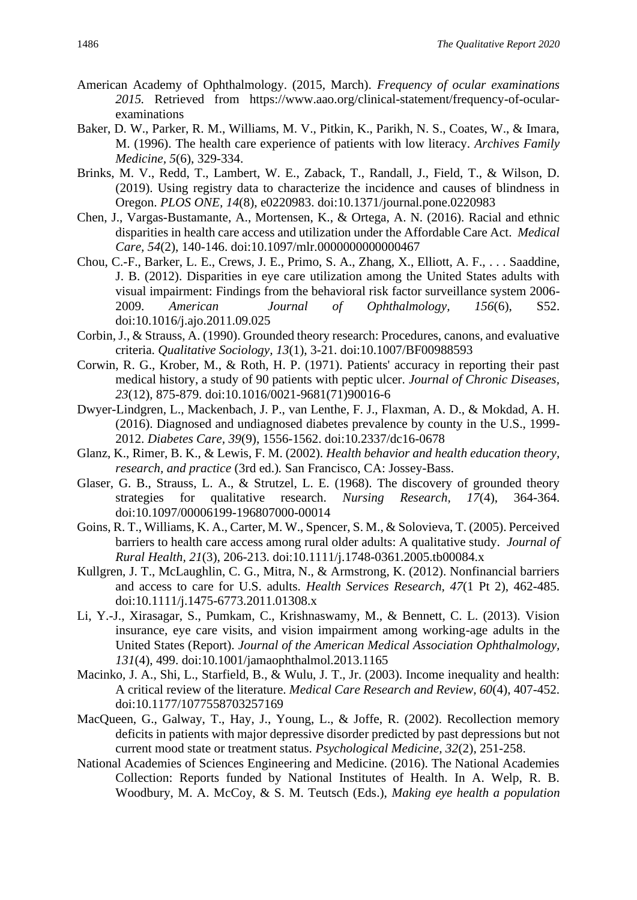- American Academy of Ophthalmology. (2015, March). *Frequency of ocular examinations 2015.* Retrieved from https://www.aao.org/clinical-statement/frequency-of-ocularexaminations
- Baker, D. W., Parker, R. M., Williams, M. V., Pitkin, K., Parikh, N. S., Coates, W., & Imara, M. (1996). The health care experience of patients with low literacy. *Archives Family Medicine, 5*(6), 329-334.
- Brinks, M. V., Redd, T., Lambert, W. E., Zaback, T., Randall, J., Field, T., & Wilson, D. (2019). Using registry data to characterize the incidence and causes of blindness in Oregon. *PLOS ONE, 14*(8), e0220983. doi:10.1371/journal.pone.0220983
- Chen, J., Vargas-Bustamante, A., Mortensen, K., & Ortega, A. N. (2016). Racial and ethnic disparities in health care access and utilization under the Affordable Care Act. *Medical Care, 54*(2), 140-146. doi:10.1097/mlr.0000000000000467
- Chou, C.-F., Barker, L. E., Crews, J. E., Primo, S. A., Zhang, X., Elliott, A. F., . . . Saaddine, J. B. (2012). Disparities in eye care utilization among the United States adults with visual impairment: Findings from the behavioral risk factor surveillance system 2006- 2009. *American Journal of Ophthalmology, 156*(6), S52. doi:10.1016/j.ajo.2011.09.025
- Corbin, J., & Strauss, A. (1990). Grounded theory research: Procedures, canons, and evaluative criteria. *Qualitative Sociology, 13*(1), 3-21. doi:10.1007/BF00988593
- Corwin, R. G., Krober, M., & Roth, H. P. (1971). Patients' accuracy in reporting their past medical history, a study of 90 patients with peptic ulcer. *Journal of Chronic Diseases, 23*(12), 875-879. doi:10.1016/0021-9681(71)90016-6
- Dwyer-Lindgren, L., Mackenbach, J. P., van Lenthe, F. J., Flaxman, A. D., & Mokdad, A. H. (2016). Diagnosed and undiagnosed diabetes prevalence by county in the U.S., 1999- 2012. *Diabetes Care, 39*(9), 1556-1562. doi:10.2337/dc16-0678
- Glanz, K., Rimer, B. K., & Lewis, F. M. (2002). *Health behavior and health education theory, research, and practice* (3rd ed.)*.* San Francisco, CA: Jossey-Bass.
- Glaser, G. B., Strauss, L. A., & Strutzel, L. E. (1968). The discovery of grounded theory strategies for qualitative research. *Nursing Research, 17*(4), 364-364. doi:10.1097/00006199-196807000-00014
- Goins, R. T., Williams, K. A., Carter, M. W., Spencer, S. M., & Solovieva, T. (2005). Perceived barriers to health care access among rural older adults: A qualitative study. *Journal of Rural Health, 21*(3), 206-213. doi:10.1111/j.1748-0361.2005.tb00084.x
- Kullgren, J. T., McLaughlin, C. G., Mitra, N., & Armstrong, K. (2012). Nonfinancial barriers and access to care for U.S. adults. *Health Services Research, 47*(1 Pt 2), 462-485. doi:10.1111/j.1475-6773.2011.01308.x
- Li, Y.-J., Xirasagar, S., Pumkam, C., Krishnaswamy, M., & Bennett, C. L. (2013). Vision insurance, eye care visits, and vision impairment among working-age adults in the United States (Report). *Journal of the American Medical Association Ophthalmology, 131*(4), 499. doi:10.1001/jamaophthalmol.2013.1165
- Macinko, J. A., Shi, L., Starfield, B., & Wulu, J. T., Jr. (2003). Income inequality and health: A critical review of the literature. *Medical Care Research and Review, 60*(4), 407-452. doi:10.1177/1077558703257169
- MacQueen, G., Galway, T., Hay, J., Young, L., & Joffe, R. (2002). Recollection memory deficits in patients with major depressive disorder predicted by past depressions but not current mood state or treatment status. *Psychological Medicine, 32*(2), 251-258.
- National Academies of Sciences Engineering and Medicine. (2016). The National Academies Collection: Reports funded by National Institutes of Health. In A. Welp, R. B. Woodbury, M. A. McCoy, & S. M. Teutsch (Eds.), *Making eye health a population*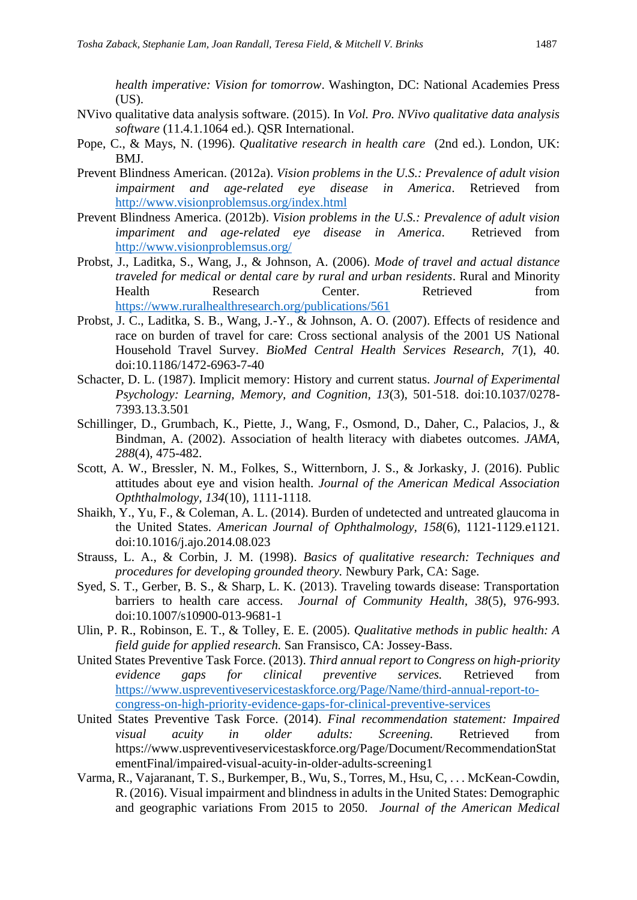*health imperative: Vision for tomorrow*. Washington, DC: National Academies Press (US).

- NVivo qualitative data analysis software. (2015). In *Vol. Pro. NVivo qualitative data analysis software* (11.4.1.1064 ed.). QSR International.
- Pope, C., & Mays, N. (1996). *Qualitative research in health care* (2nd ed.). London, UK: BMJ.
- Prevent Blindness American. (2012a). *Vision problems in the U.S.: Prevalence of adult vision impairment and age-related eye disease in America*. Retrieved from <http://www.visionproblemsus.org/index.html>
- Prevent Blindness America. (2012b). *Vision problems in the U.S.: Prevalence of adult vision impariment and age-related eye disease in America*. Retrieved from <http://www.visionproblemsus.org/>
- Probst, J., Laditka, S., Wang, J., & Johnson, A. (2006). *Mode of travel and actual distance traveled for medical or dental care by rural and urban residents*. Rural and Minority Health Research Center. Retrieved from <https://www.ruralhealthresearch.org/publications/561>
- Probst, J. C., Laditka, S. B., Wang, J.-Y., & Johnson, A. O. (2007). Effects of residence and race on burden of travel for care: Cross sectional analysis of the 2001 US National Household Travel Survey. *BioMed Central Health Services Research, 7*(1), 40. doi:10.1186/1472-6963-7-40
- Schacter, D. L. (1987). Implicit memory: History and current status. *Journal of Experimental Psychology: Learning, Memory, and Cognition, 13*(3), 501-518. doi:10.1037/0278- 7393.13.3.501
- Schillinger, D., Grumbach, K., Piette, J., Wang, F., Osmond, D., Daher, C., Palacios, J., & Bindman, A. (2002). Association of health literacy with diabetes outcomes. *JAMA, 288*(4), 475-482.
- Scott, A. W., Bressler, N. M., Folkes, S., Witternborn, J. S., & Jorkasky, J. (2016). Public attitudes about eye and vision health. *Journal of the American Medical Association Opththalmology, 134*(10)*,* 1111-1118.
- Shaikh, Y., Yu, F., & Coleman, A. L. (2014). Burden of undetected and untreated glaucoma in the United States. *American Journal of Ophthalmology, 158*(6), 1121-1129.e1121. doi:10.1016/j.ajo.2014.08.023
- Strauss, L. A., & Corbin, J. M. (1998). *Basics of qualitative research: Techniques and procedures for developing grounded theory.* Newbury Park, CA: Sage.
- Syed, S. T., Gerber, B. S., & Sharp, L. K. (2013). Traveling towards disease: Transportation barriers to health care access. *Journal of Community Health, 38*(5), 976-993. doi:10.1007/s10900-013-9681-1
- Ulin, P. R., Robinson, E. T., & Tolley, E. E. (2005). *Qualitative methods in public health: A field guide for applied research.* San Fransisco, CA: Jossey-Bass.
- United States Preventive Task Force. (2013). *Third annual report to Congress on high-priority evidence gaps for clinical preventive services.* Retrieved from [https://www.uspreventiveservicestaskforce.org/Page/Name/third-annual-report-to](https://www.uspreventiveservicestaskforce.org/Page/Name/third-annual-report-to-congress-on-high-priority-evidence-gaps-for-clinical-preventive-services)[congress-on-high-priority-evidence-gaps-for-clinical-preventive-services](https://www.uspreventiveservicestaskforce.org/Page/Name/third-annual-report-to-congress-on-high-priority-evidence-gaps-for-clinical-preventive-services)
- United States Preventive Task Force. (2014). *Final recommendation statement: Impaired visual acuity in older adults: Screening.* Retrieved from https://www.uspreventiveservicestaskforce.org/Page/Document/RecommendationStat ementFinal/impaired-visual-acuity-in-older-adults-screening1
- Varma, R., Vajaranant, T. S., Burkemper, B., Wu, S., Torres, M., Hsu, C, . . . McKean-Cowdin, R. (2016). Visual impairment and blindness in adults in the United States: Demographic and geographic variations From 2015 to 2050. *Journal of the American Medical*